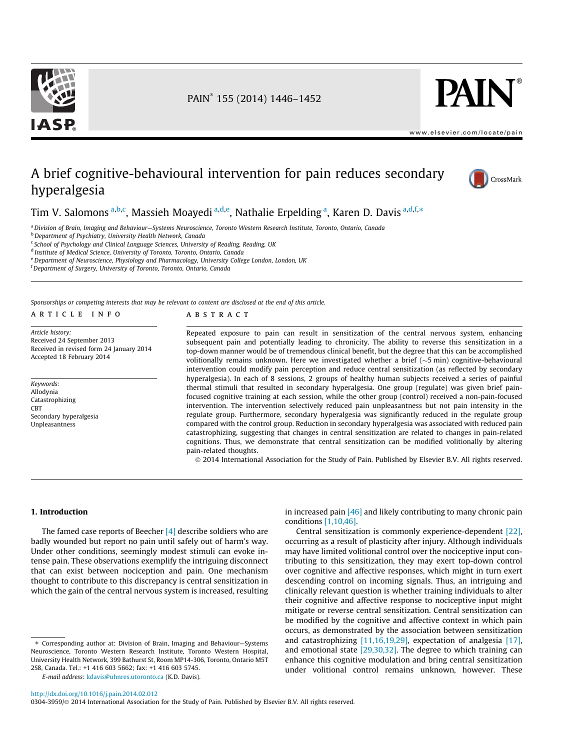

PAIN<sup>®</sup> 155 (2014) 1446-1452



[www.elsevier.com/locate/pain](http://www.elsevier.com/locate/pain)

# A brief cognitive-behavioural intervention for pain reduces secondary hyperalgesia



Tim V. Salomons <sup>a,b,c</sup>, Massieh Moayedi <sup>a,d,e</sup>, Nathalie Erpelding <sup>a</sup>, Karen D. Davis <sup>a,d,f,</sup>\*

a Division of Brain, Imaging and Behaviour–Systems Neuroscience, Toronto Western Research Institute, Toronto, Ontario, Canada

**b** Department of Psychiatry, University Health Network, Canada

<sup>c</sup> School of Psychology and Clinical Language Sciences, University of Reading, Reading, UK

<sup>d</sup> Institute of Medical Science, University of Toronto, Toronto, Ontario, Canada

e Department of Neuroscience, Physiology and Pharmacology, University College London, London, UK

f Department of Surgery, University of Toronto, Toronto, Ontario, Canada

Sponsorships or competing interests that may be relevant to content are disclosed at the end of this article.

article info

Received 24 September 2013

Accepted 18 February 2014

Secondary hyperalgesia Unpleasantness

Received in revised form 24 January 2014

Article history:

Keywords: Allodynia Catastrophizing **CBT** 

**ABSTRACT** 

Repeated exposure to pain can result in sensitization of the central nervous system, enhancing subsequent pain and potentially leading to chronicity. The ability to reverse this sensitization in a top-down manner would be of tremendous clinical benefit, but the degree that this can be accomplished volitionally remains unknown. Here we investigated whether a brief  $(\sim\!5\,\mathrm{min})$  cognitive-behavioural intervention could modify pain perception and reduce central sensitization (as reflected by secondary hyperalgesia). In each of 8 sessions, 2 groups of healthy human subjects received a series of painful thermal stimuli that resulted in secondary hyperalgesia. One group (regulate) was given brief painfocused cognitive training at each session, while the other group (control) received a non-pain-focused intervention. The intervention selectively reduced pain unpleasantness but not pain intensity in the regulate group. Furthermore, secondary hyperalgesia was significantly reduced in the regulate group compared with the control group. Reduction in secondary hyperalgesia was associated with reduced pain catastrophizing, suggesting that changes in central sensitization are related to changes in pain-related cognitions. Thus, we demonstrate that central sensitization can be modified volitionally by altering pain-related thoughts.

- 2014 International Association for the Study of Pain. Published by Elsevier B.V. All rights reserved.

### 1. Introduction

The famed case reports of Beecher  $[4]$  describe soldiers who are badly wounded but report no pain until safely out of harm's way. Under other conditions, seemingly modest stimuli can evoke intense pain. These observations exemplify the intriguing disconnect that can exist between nociception and pain. One mechanism thought to contribute to this discrepancy is central sensitization in which the gain of the central nervous system is increased, resulting

⇑ Corresponding author at: Division of Brain, Imaging and Behaviour—Systems Neuroscience, Toronto Western Research Institute, Toronto Western Hospital, University Health Network, 399 Bathurst St, Room MP14-306, Toronto, Ontario M5T 2S8, Canada. Tel.: +1 416 603 5662; fax: +1 416 603 5745.

E-mail address: [kdavis@uhnres.utoronto.ca](mailto:kdavis@uhnres.utoronto.ca) (K.D. Davis).

in increased pain  $[46]$  and likely contributing to many chronic pain conditions [\[1,10,46\].](#page-6-0)

Central sensitization is commonly experience-dependent [\[22\],](#page-6-0) occurring as a result of plasticity after injury. Although individuals may have limited volitional control over the nociceptive input contributing to this sensitization, they may exert top-down control over cognitive and affective responses, which might in turn exert descending control on incoming signals. Thus, an intriguing and clinically relevant question is whether training individuals to alter their cognitive and affective response to nociceptive input might mitigate or reverse central sensitization. Central sensitization can be modified by the cognitive and affective context in which pain occurs, as demonstrated by the association between sensitization and catastrophizing [\[11,16,19,29\]](#page-6-0), expectation of analgesia [\[17\],](#page-6-0) and emotional state [\[29,30,32\].](#page-6-0) The degree to which training can enhance this cognitive modulation and bring central sensitization under volitional control remains unknown, however. These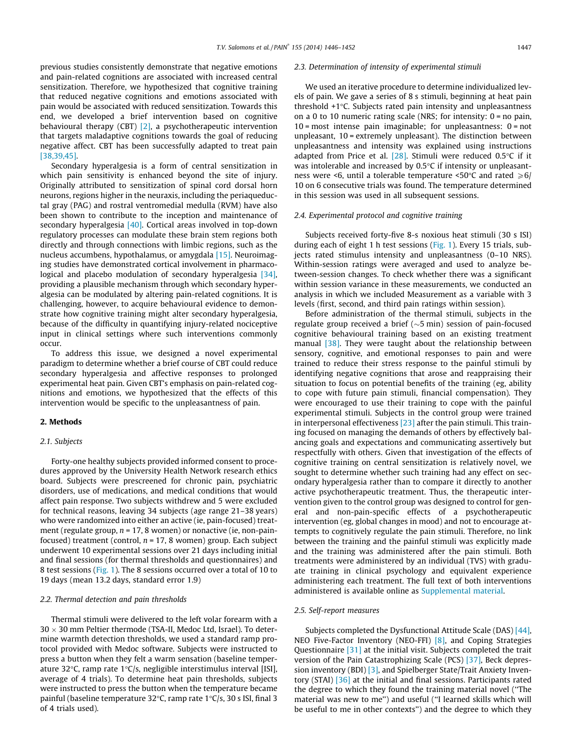previous studies consistently demonstrate that negative emotions and pain-related cognitions are associated with increased central sensitization. Therefore, we hypothesized that cognitive training that reduced negative cognitions and emotions associated with pain would be associated with reduced sensitization. Towards this end, we developed a brief intervention based on cognitive behavioural therapy (CBT) [\[2\]](#page-6-0), a psychotherapeutic intervention that targets maladaptive cognitions towards the goal of reducing negative affect. CBT has been successfully adapted to treat pain [\[38,39,45\].](#page-6-0)

Secondary hyperalgesia is a form of central sensitization in which pain sensitivity is enhanced beyond the site of injury. Originally attributed to sensitization of spinal cord dorsal horn neurons, regions higher in the neuraxis, including the periaqueductal gray (PAG) and rostral ventromedial medulla (RVM) have also been shown to contribute to the inception and maintenance of secondary hyperalgesia [\[40\]](#page-6-0). Cortical areas involved in top-down regulatory processes can modulate these brain stem regions both directly and through connections with limbic regions, such as the nucleus accumbens, hypothalamus, or amygdala [\[15\].](#page-6-0) Neuroimaging studies have demonstrated cortical involvement in pharmaco-logical and placebo modulation of secondary hyperalgesia [\[34\],](#page-6-0) providing a plausible mechanism through which secondary hyperalgesia can be modulated by altering pain-related cognitions. It is challenging, however, to acquire behavioural evidence to demonstrate how cognitive training might alter secondary hyperalgesia, because of the difficulty in quantifying injury-related nociceptive input in clinical settings where such interventions commonly occur.

To address this issue, we designed a novel experimental paradigm to determine whether a brief course of CBT could reduce secondary hyperalgesia and affective responses to prolonged experimental heat pain. Given CBT's emphasis on pain-related cognitions and emotions, we hypothesized that the effects of this intervention would be specific to the unpleasantness of pain.

### 2. Methods

# 2.1. Subjects

Forty-one healthy subjects provided informed consent to procedures approved by the University Health Network research ethics board. Subjects were prescreened for chronic pain, psychiatric disorders, use of medications, and medical conditions that would affect pain response. Two subjects withdrew and 5 were excluded for technical reasons, leaving 34 subjects (age range 21–38 years) who were randomized into either an active (ie, pain-focused) treatment (regulate group,  $n = 17$ , 8 women) or nonactive (ie, non-painfocused) treatment (control,  $n = 17$ , 8 women) group. Each subject underwent 10 experimental sessions over 21 days including initial and final sessions (for thermal thresholds and questionnaires) and 8 test sessions ([Fig. 1\)](#page-2-0). The 8 sessions occurred over a total of 10 to 19 days (mean 13.2 days, standard error 1.9)

### 2.2. Thermal detection and pain thresholds

Thermal stimuli were delivered to the left volar forearm with a  $30 \times 30$  mm Peltier thermode (TSA-II, Medoc Ltd, Israel). To determine warmth detection thresholds, we used a standard ramp protocol provided with Medoc software. Subjects were instructed to press a button when they felt a warm sensation (baseline temperature 32 $\degree$ C, ramp rate 1 $\degree$ C/s, negligible interstimulus interval [ISI], average of 4 trials). To determine heat pain thresholds, subjects were instructed to press the button when the temperature became painful (baseline temperature 32 $\degree$ C, ramp rate 1 $\degree$ C/s, 30 s ISI, final 3 of 4 trials used).

### 2.3. Determination of intensity of experimental stimuli

We used an iterative procedure to determine individualized levels of pain. We gave a series of 8 s stimuli, beginning at heat pain threshold  $+1$ °C. Subjects rated pain intensity and unpleasantness on a 0 to 10 numeric rating scale (NRS; for intensity: 0 = no pain,  $10 =$  most intense pain imaginable; for unpleasantness:  $0 =$  not unpleasant, 10 = extremely unpleasant). The distinction between unpleasantness and intensity was explained using instructions adapted from Price et al. [\[28\]](#page-6-0). Stimuli were reduced  $0.5^{\circ}$ C if it was intolerable and increased by  $0.5^{\circ}$ C if intensity or unpleasantness were <6, until a tolerable temperature <50 $\degree$ C and rated  $\geq 6/$ 10 on 6 consecutive trials was found. The temperature determined in this session was used in all subsequent sessions.

### 2.4. Experimental protocol and cognitive training

Subjects received forty-five 8-s noxious heat stimuli (30 s ISI) during each of eight 1 h test sessions [\(Fig. 1\)](#page-2-0). Every 15 trials, subjects rated stimulus intensity and unpleasantness (0–10 NRS). Within-session ratings were averaged and used to analyze between-session changes. To check whether there was a significant within session variance in these measurements, we conducted an analysis in which we included Measurement as a variable with 3 levels (first, second, and third pain ratings within session).

Before administration of the thermal stimuli, subjects in the regulate group received a brief ( $\sim$ 5 min) session of pain-focused cognitive behavioural training based on an existing treatment manual [\[38\]](#page-6-0). They were taught about the relationship between sensory, cognitive, and emotional responses to pain and were trained to reduce their stress response to the painful stimuli by identifying negative cognitions that arose and reappraising their situation to focus on potential benefits of the training (eg, ability to cope with future pain stimuli, financial compensation). They were encouraged to use their training to cope with the painful experimental stimuli. Subjects in the control group were trained in interpersonal effectiveness  $[23]$  after the pain stimuli. This training focused on managing the demands of others by effectively balancing goals and expectations and communicating assertively but respectfully with others. Given that investigation of the effects of cognitive training on central sensitization is relatively novel, we sought to determine whether such training had any effect on secondary hyperalgesia rather than to compare it directly to another active psychotherapeutic treatment. Thus, the therapeutic intervention given to the control group was designed to control for general and non-pain-specific effects of a psychotherapeutic intervention (eg, global changes in mood) and not to encourage attempts to cognitively regulate the pain stimuli. Therefore, no link between the training and the painful stimuli was explicitly made and the training was administered after the pain stimuli. Both treatments were administered by an individual (TVS) with graduate training in clinical psychology and equivalent experience administering each treatment. The full text of both interventions administered is available online as Supplemental material.

### 2.5. Self-report measures

Subjects completed the Dysfunctional Attitude Scale (DAS) [\[44\],](#page-6-0) NEO Five-Factor Inventory (NEO-FFI) [\[8\],](#page-6-0) and Coping Strategies Questionnaire [\[31\]](#page-6-0) at the initial visit. Subjects completed the trait version of the Pain Catastrophizing Scale (PCS) [\[37\],](#page-6-0) Beck depression inventory (BDI) [\[3\]](#page-6-0), and Spielberger State/Trait Anxiety Inventory (STAI) [\[36\]](#page-6-0) at the initial and final sessions. Participants rated the degree to which they found the training material novel (''The material was new to me'') and useful (''I learned skills which will be useful to me in other contexts'') and the degree to which they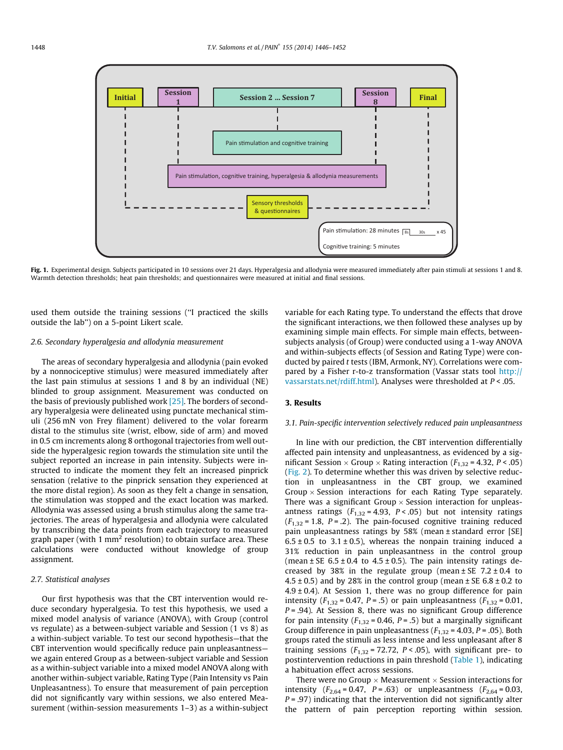<span id="page-2-0"></span>

Fig. 1. Experimental design. Subjects participated in 10 sessions over 21 days. Hyperalgesia and allodynia were measured immediately after pain stimuli at sessions 1 and 8. Warmth detection thresholds; heat pain thresholds; and questionnaires were measured at initial and final sessions.

used them outside the training sessions (''I practiced the skills outside the lab'') on a 5-point Likert scale.

# 2.6. Secondary hyperalgesia and allodynia measurement

The areas of secondary hyperalgesia and allodynia (pain evoked by a nonnociceptive stimulus) were measured immediately after the last pain stimulus at sessions 1 and 8 by an individual (NE) blinded to group assignment. Measurement was conducted on the basis of previously published work [\[25\].](#page-6-0) The borders of secondary hyperalgesia were delineated using punctate mechanical stimuli (256 mN von Frey filament) delivered to the volar forearm distal to the stimulus site (wrist, elbow, side of arm) and moved in 0.5 cm increments along 8 orthogonal trajectories from well outside the hyperalgesic region towards the stimulation site until the subject reported an increase in pain intensity. Subjects were instructed to indicate the moment they felt an increased pinprick sensation (relative to the pinprick sensation they experienced at the more distal region). As soon as they felt a change in sensation, the stimulation was stopped and the exact location was marked. Allodynia was assessed using a brush stimulus along the same trajectories. The areas of hyperalgesia and allodynia were calculated by transcribing the data points from each trajectory to measured graph paper (with 1  $mm<sup>2</sup>$  resolution) to obtain surface area. These calculations were conducted without knowledge of group assignment.

### 2.7. Statistical analyses

Our first hypothesis was that the CBT intervention would reduce secondary hyperalgesia. To test this hypothesis, we used a mixed model analysis of variance (ANOVA), with Group (control vs regulate) as a between-subject variable and Session (1 vs 8) as a within-subject variable. To test our second hypothesis—that the CBT intervention would specifically reduce pain unpleasantness we again entered Group as a between-subject variable and Session as a within-subject variable into a mixed model ANOVA along with another within-subject variable, Rating Type (Pain Intensity vs Pain Unpleasantness). To ensure that measurement of pain perception did not significantly vary within sessions, we also entered Measurement (within-session measurements 1–3) as a within-subject variable for each Rating type. To understand the effects that drove the significant interactions, we then followed these analyses up by examining simple main effects. For simple main effects, betweensubjects analysis (of Group) were conducted using a 1-way ANOVA and within-subjects effects (of Session and Rating Type) were conducted by paired t tests (IBM, Armonk, NY). Correlations were compared by a Fisher r-to-z transformation (Vassar stats tool [http://](http://vassarstats.net/rdiff.html) [vassarstats.net/rdiff.html](http://vassarstats.net/rdiff.html)). Analyses were thresholded at P < .05.

### 3. Results

### 3.1. Pain-specific intervention selectively reduced pain unpleasantness

In line with our prediction, the CBT intervention differentially affected pain intensity and unpleasantness, as evidenced by a significant Session  $\times$  Group  $\times$  Rating interaction ( $F_{1,32}$  = 4.32, P < .05) ([Fig. 2](#page-3-0)). To determine whether this was driven by selective reduction in unpleasantness in the CBT group, we examined Group  $\times$  Session interactions for each Rating Type separately. There was a significant Group  $\times$  Session interaction for unpleasantness ratings  $(F_{1,32} = 4.93, P < .05)$  but not intensity ratings  $(F<sub>1,32</sub> = 1.8, P = .2)$ . The pain-focused cognitive training reduced pain unpleasantness ratings by 58% (mean ± standard error [SE]  $6.5 \pm 0.5$  to  $3.1 \pm 0.5$ ), whereas the nonpain training induced a 31% reduction in pain unpleasantness in the control group (mean  $\pm$  SE 6.5  $\pm$  0.4 to 4.5  $\pm$  0.5). The pain intensity ratings decreased by 38% in the regulate group (mean  $\pm$  SE 7.2  $\pm$  0.4 to  $4.5 \pm 0.5$ ) and by 28% in the control group (mean  $\pm$  SE 6.8  $\pm$  0.2 to  $4.9 \pm 0.4$ ). At Session 1, there was no group difference for pain intensity ( $F_{1,32}$  = 0.47, P = .5) or pain unpleasantness ( $F_{1,32}$  = 0.01,  $P = .94$ ). At Session 8, there was no significant Group difference for pain intensity ( $F_{1,32}$  = 0.46, P = .5) but a marginally significant Group difference in pain unpleasantness ( $F_{1,32}$  = 4.03, P = .05). Both groups rated the stimuli as less intense and less unpleasant after 8 training sessions ( $F_{1,32}$  = 72.72,  $P < .05$ ), with significant pre- to postintervention reductions in pain threshold [\(Table 1\)](#page-3-0), indicating a habituation effect across sessions.

There were no Group  $\times$  Measurement  $\times$  Session interactions for intensity  $(F_{2,64} = 0.47, P = .63)$  or unpleasantness  $(F_{2,64} = 0.03,$  $P = .97$ ) indicating that the intervention did not significantly alter the pattern of pain perception reporting within session.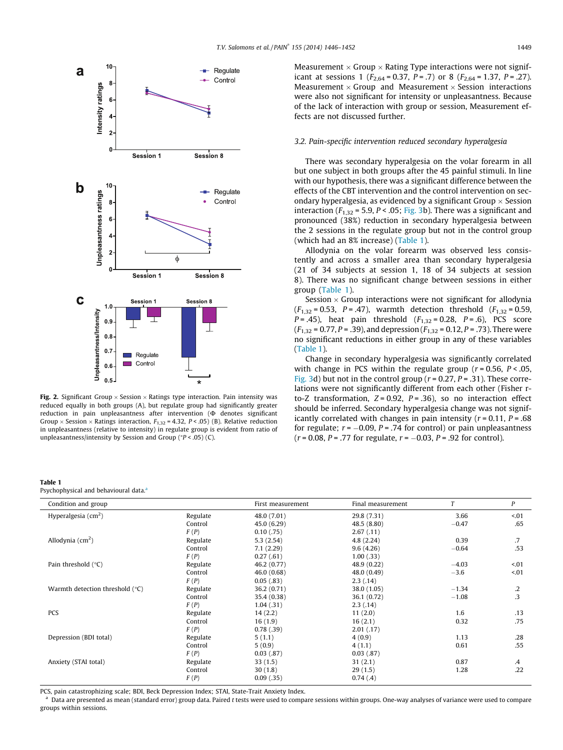<span id="page-3-0"></span>

Fig. 2. Significant Group  $\times$  Session  $\times$  Ratings type interaction. Pain intensity was reduced equally in both groups (A), but regulate group had significantly greater  $reduction$  in pain unpleasantness after intervention ( $\Phi$  denotes significant Group  $\times$  Session  $\times$  Ratings interaction,  $F_{1,32}$  = 4.32, P < .05) (B). Relative reduction in unpleasantness (relative to intensity) in regulate group is evident from ratio of unpleasantness/intensity by Session and Group  $({^*P} < .05)$  (C).

# Measurement  $\times$  Group  $\times$  Rating Type interactions were not significant at sessions 1 ( $F_{2,64} = 0.37$ ,  $P = .7$ ) or 8 ( $F_{2,64} = 1.37$ ,  $P = .27$ ). Measurement  $\times$  Group and Measurement  $\times$  Session interactions were also not significant for intensity or unpleasantness. Because of the lack of interaction with group or session, Measurement effects are not discussed further.

### 3.2. Pain-specific intervention reduced secondary hyperalgesia

There was secondary hyperalgesia on the volar forearm in all but one subject in both groups after the 45 painful stimuli. In line with our hypothesis, there was a significant difference between the effects of the CBT intervention and the control intervention on secondary hyperalgesia, as evidenced by a significant Group  $\times$  Session interaction ( $F_{1,32}$  = 5.9,  $P < .05$ ; [Fig. 3b](#page-4-0)). There was a significant and pronounced (38%) reduction in secondary hyperalgesia between the 2 sessions in the regulate group but not in the control group (which had an 8% increase) (Table 1).

Allodynia on the volar forearm was observed less consistently and across a smaller area than secondary hyperalgesia (21 of 34 subjects at session 1, 18 of 34 subjects at session 8). There was no significant change between sessions in either group (Table 1).

Session  $\times$  Group interactions were not significant for allodynia  $(F_{1,32} = 0.53, P = .47)$ , warmth detection threshold  $(F_{1,32} = 0.59, P = .47)$  $P = .45$ ), heat pain threshold  $(F_{1,32} = 0.28, P = .6)$ , PCS score  $(F_{1,32} = 0.77, P = .39)$ , and depression  $(F_{1,32} = 0.12, P = .73)$ . There were no significant reductions in either group in any of these variables (Table 1).

Change in secondary hyperalgesia was significantly correlated with change in PCS within the regulate group ( $r = 0.56$ ,  $P < .05$ , [Fig. 3d](#page-4-0)) but not in the control group ( $r = 0.27$ ,  $P = .31$ ). These correlations were not significantly different from each other (Fisher rto-Z transformation,  $Z = 0.92$ ,  $P = .36$ ), so no interaction effect should be inferred. Secondary hyperalgesia change was not significantly correlated with changes in pain intensity  $(r = 0.11, P = .68)$ for regulate;  $r = -0.09$ ,  $P = .74$  for control) or pain unpleasantness  $(r = 0.08, P = .77$  for regulate,  $r = -0.03, P = .92$  for control).

### Table 1

Psychophysical and behavioural data.<sup>a</sup>

| Condition and group               |          | First measurement | Final measurement | T       | P              |
|-----------------------------------|----------|-------------------|-------------------|---------|----------------|
| Hyperalgesia $\text{cm}^2$ )      | Regulate | 48.0 (7.01)       | 29.8 (7.31)       | 3.66    | $15 - 01$      |
|                                   | Control  | 45.0 (6.29)       | 48.5 (8.80)       | $-0.47$ | .65            |
|                                   | F(P)     | 0.10(0.75)        | 2.67(0.11)        |         |                |
| Allodynia $\text{cm}^2$ )         | Regulate | 5.3(2.54)         | 4.8(2.24)         | 0.39    | .7             |
|                                   | Control  | 7.1(2.29)         | 9.6(4.26)         | $-0.64$ | .53            |
|                                   | F(P)     | 0.27(.61)         | 1.00(.33)         |         |                |
| Pain threshold $(°C)$             | Regulate | 46.2 (0.77)       | 48.9 (0.22)       | $-4.03$ | 501            |
|                                   | Control  | 46.0 (0.68)       | 48.0 (0.49)       | $-3.6$  | 501            |
|                                   | F(P)     | 0.05(.83)         | 2.3(0.14)         |         |                |
| Warmth detection threshold $(°C)$ | Regulate | 36.2 (0.71)       | 38.0(1.05)        | $-1.34$ | $\cdot$ .2     |
|                                   | Control  | 35.4 (0.38)       | 36.1 (0.72)       | $-1.08$ | $\overline{3}$ |
|                                   | F(P)     | 1.04(.31)         | 2.3(0.14)         |         |                |
| <b>PCS</b>                        | Regulate | 14(2.2)           | 11(2.0)           | 1.6     | .13            |
|                                   | Control  | 16(1.9)           | 16(2.1)           | 0.32    | .75            |
|                                   | F(P)     | 0.78(.39)         | 2.01(0.17)        |         |                |
| Depression (BDI total)            | Regulate | 5(1.1)            | 4(0.9)            | 1.13    | .28            |
|                                   | Control  | 5(0.9)            | 4(1.1)            | 0.61    | .55            |
|                                   | F(P)     | 0.03(.87)         | 0.03(.87)         |         |                |
| Anxiety (STAI total)              | Regulate | 33(1.5)           | 31(2.1)           | 0.87    | $\cdot$ 4      |
|                                   | Control  | 30(1.8)           | 29(1.5)           | 1.28    | .22            |
|                                   | F(P)     | 0.09(0.35)        | 0.74(.4)          |         |                |

PCS, pain catastrophizing scale; BDI, Beck Depression Index; STAI, State-Trait Anxiety Index.

Data are presented as mean (standard error) group data. Paired t tests were used to compare sessions within groups. One-way analyses of variance were used to compare groups within sessions.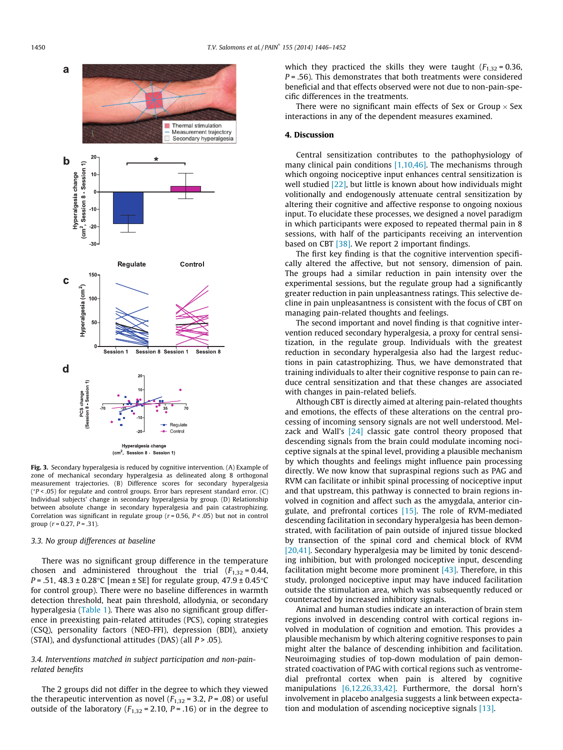<span id="page-4-0"></span>

Fig. 3. Secondary hyperalgesia is reduced by cognitive intervention. (A) Example of zone of mechanical secondary hyperalgesia as delineated along 8 orthogonal measurement trajectories. (B) Difference scores for secondary hyperalgesia  $(*P < .05)$  for regulate and control groups. Error bars represent standard error. (C) Individual subjects' change in secondary hyperalgesia by group. (D) Relationship between absolute change in secondary hyperalgesia and pain catastrophizing. Correlation was significant in regulate group ( $r = 0.56$ ,  $P < .05$ ) but not in control group ( $r = 0.27$ ,  $P = .31$ ).

### 3.3. No group differences at baseline

There was no significant group difference in the temperature chosen and administered throughout the trial  $(F_{1,32} = 0.44,$  $P = .51, 48.3 \pm 0.28$  °C [mean  $\pm$  SE] for regulate group,  $47.9 \pm 0.45$  °C for control group). There were no baseline differences in warmth detection threshold, heat pain threshold, allodynia, or secondary hyperalgesia [\(Table 1\)](#page-3-0). There was also no significant group difference in preexisting pain-related attitudes (PCS), coping strategies (CSQ), personality factors (NEO-FFI), depression (BDI), anxiety (STAI), and dysfunctional attitudes (DAS) (all  $P > .05$ ).

# 3.4. Interventions matched in subject participation and non-painrelated benefits

The 2 groups did not differ in the degree to which they viewed the therapeutic intervention as novel  $(F_{1,32} = 3.2, P = .08)$  or useful outside of the laboratory ( $F_{1,32}$  = 2.10, P = .16) or in the degree to which they practiced the skills they were taught  $(F_{1,32} = 0.36,$  $P = .56$ ). This demonstrates that both treatments were considered beneficial and that effects observed were not due to non-pain-specific differences in the treatments.

There were no significant main effects of Sex or Group  $\times$  Sex interactions in any of the dependent measures examined.

### 4. Discussion

Central sensitization contributes to the pathophysiology of many clinical pain conditions [\[1,10,46\].](#page-6-0) The mechanisms through which ongoing nociceptive input enhances central sensitization is well studied [\[22\]](#page-6-0), but little is known about how individuals might volitionally and endogenously attenuate central sensitization by altering their cognitive and affective response to ongoing noxious input. To elucidate these processes, we designed a novel paradigm in which participants were exposed to repeated thermal pain in 8 sessions, with half of the participants receiving an intervention based on CBT [\[38\].](#page-6-0) We report 2 important findings.

The first key finding is that the cognitive intervention specifically altered the affective, but not sensory, dimension of pain. The groups had a similar reduction in pain intensity over the experimental sessions, but the regulate group had a significantly greater reduction in pain unpleasantness ratings. This selective decline in pain unpleasantness is consistent with the focus of CBT on managing pain-related thoughts and feelings.

The second important and novel finding is that cognitive intervention reduced secondary hyperalgesia, a proxy for central sensitization, in the regulate group. Individuals with the greatest reduction in secondary hyperalgesia also had the largest reductions in pain catastrophizing. Thus, we have demonstrated that training individuals to alter their cognitive response to pain can reduce central sensitization and that these changes are associated with changes in pain-related beliefs.

Although CBT is directly aimed at altering pain-related thoughts and emotions, the effects of these alterations on the central processing of incoming sensory signals are not well understood. Mel-zack and Wall's [\[24\]](#page-6-0) classic gate control theory proposed that descending signals from the brain could modulate incoming nociceptive signals at the spinal level, providing a plausible mechanism by which thoughts and feelings might influence pain processing directly. We now know that supraspinal regions such as PAG and RVM can facilitate or inhibit spinal processing of nociceptive input and that upstream, this pathway is connected to brain regions involved in cognition and affect such as the amygdala, anterior cingulate, and prefrontal cortices  $[15]$ . The role of RVM-mediated descending facilitation in secondary hyperalgesia has been demonstrated, with facilitation of pain outside of injured tissue blocked by transection of the spinal cord and chemical block of RVM [\[20,41\]](#page-6-0). Secondary hyperalgesia may be limited by tonic descending inhibition, but with prolonged nociceptive input, descending facilitation might become more prominent  $[43]$ . Therefore, in this study, prolonged nociceptive input may have induced facilitation outside the stimulation area, which was subsequently reduced or counteracted by increased inhibitory signals.

Animal and human studies indicate an interaction of brain stem regions involved in descending control with cortical regions involved in modulation of cognition and emotion. This provides a plausible mechanism by which altering cognitive responses to pain might alter the balance of descending inhibition and facilitation. Neuroimaging studies of top-down modulation of pain demonstrated coactivation of PAG with cortical regions such as ventromedial prefrontal cortex when pain is altered by cognitive manipulations [\[6,12,26,33,42\]](#page-6-0). Furthermore, the dorsal horn's involvement in placebo analgesia suggests a link between expectation and modulation of ascending nociceptive signals [\[13\].](#page-6-0)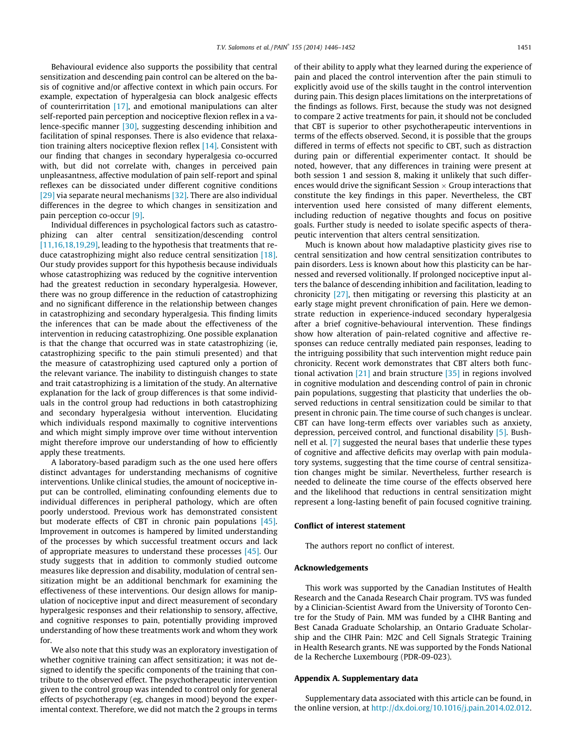Behavioural evidence also supports the possibility that central sensitization and descending pain control can be altered on the basis of cognitive and/or affective context in which pain occurs. For example, expectation of hyperalgesia can block analgesic effects of counterirritation [\[17\],](#page-6-0) and emotional manipulations can alter self-reported pain perception and nociceptive flexion reflex in a valence-specific manner [\[30\],](#page-6-0) suggesting descending inhibition and facilitation of spinal responses. There is also evidence that relaxation training alters nociceptive flexion reflex [\[14\]](#page-6-0). Consistent with our finding that changes in secondary hyperalgesia co-occurred with, but did not correlate with, changes in perceived pain unpleasantness, affective modulation of pain self-report and spinal reflexes can be dissociated under different cognitive conditions [\[29\]](#page-6-0) via separate neural mechanisms [\[32\].](#page-6-0) There are also individual differences in the degree to which changes in sensitization and pain perception co-occur [\[9\].](#page-6-0)

Individual differences in psychological factors such as catastrophizing can alter central sensitization/descending control [\[11,16,18,19,29\],](#page-6-0) leading to the hypothesis that treatments that reduce catastrophizing might also reduce central sensitization [\[18\].](#page-6-0) Our study provides support for this hypothesis because individuals whose catastrophizing was reduced by the cognitive intervention had the greatest reduction in secondary hyperalgesia. However, there was no group difference in the reduction of catastrophizing and no significant difference in the relationship between changes in catastrophizing and secondary hyperalgesia. This finding limits the inferences that can be made about the effectiveness of the intervention in reducing catastrophizing. One possible explanation is that the change that occurred was in state catastrophizing (ie, catastrophizing specific to the pain stimuli presented) and that the measure of catastrophizing used captured only a portion of the relevant variance. The inability to distinguish changes to state and trait catastrophizing is a limitation of the study. An alternative explanation for the lack of group differences is that some individuals in the control group had reductions in both catastrophizing and secondary hyperalgesia without intervention. Elucidating which individuals respond maximally to cognitive interventions and which might simply improve over time without intervention might therefore improve our understanding of how to efficiently apply these treatments.

A laboratory-based paradigm such as the one used here offers distinct advantages for understanding mechanisms of cognitive interventions. Unlike clinical studies, the amount of nociceptive input can be controlled, eliminating confounding elements due to individual differences in peripheral pathology, which are often poorly understood. Previous work has demonstrated consistent but moderate effects of CBT in chronic pain populations [\[45\].](#page-6-0) Improvement in outcomes is hampered by limited understanding of the processes by which successful treatment occurs and lack of appropriate measures to understand these processes [\[45\]](#page-6-0). Our study suggests that in addition to commonly studied outcome measures like depression and disability, modulation of central sensitization might be an additional benchmark for examining the effectiveness of these interventions. Our design allows for manipulation of nociceptive input and direct measurement of secondary hyperalgesic responses and their relationship to sensory, affective, and cognitive responses to pain, potentially providing improved understanding of how these treatments work and whom they work for.

We also note that this study was an exploratory investigation of whether cognitive training can affect sensitization; it was not designed to identify the specific components of the training that contribute to the observed effect. The psychotherapeutic intervention given to the control group was intended to control only for general effects of psychotherapy (eg, changes in mood) beyond the experimental context. Therefore, we did not match the 2 groups in terms

of their ability to apply what they learned during the experience of pain and placed the control intervention after the pain stimuli to explicitly avoid use of the skills taught in the control intervention during pain. This design places limitations on the interpretations of the findings as follows. First, because the study was not designed to compare 2 active treatments for pain, it should not be concluded that CBT is superior to other psychotherapeutic interventions in terms of the effects observed. Second, it is possible that the groups differed in terms of effects not specific to CBT, such as distraction during pain or differential experimenter contact. It should be noted, however, that any differences in training were present at both session 1 and session 8, making it unlikely that such differences would drive the significant Session  $\times$  Group interactions that constitute the key findings in this paper. Nevertheless, the CBT intervention used here consisted of many different elements, including reduction of negative thoughts and focus on positive goals. Further study is needed to isolate specific aspects of therapeutic intervention that alters central sensitization.

Much is known about how maladaptive plasticity gives rise to central sensitization and how central sensitization contributes to pain disorders. Less is known about how this plasticity can be harnessed and reversed volitionally. If prolonged nociceptive input alters the balance of descending inhibition and facilitation, leading to chronicity [\[27\],](#page-6-0) then mitigating or reversing this plasticity at an early stage might prevent chronification of pain. Here we demonstrate reduction in experience-induced secondary hyperalgesia after a brief cognitive-behavioural intervention. These findings show how alteration of pain-related cognitive and affective responses can reduce centrally mediated pain responses, leading to the intriguing possibility that such intervention might reduce pain chronicity. Recent work demonstrates that CBT alters both functional activation [\[21\]](#page-6-0) and brain structure [\[35\]](#page-6-0) in regions involved in cognitive modulation and descending control of pain in chronic pain populations, suggesting that plasticity that underlies the observed reductions in central sensitization could be similar to that present in chronic pain. The time course of such changes is unclear. CBT can have long-term effects over variables such as anxiety, depression, perceived control, and functional disability [\[5\].](#page-6-0) Bushnell et al. [\[7\]](#page-6-0) suggested the neural bases that underlie these types of cognitive and affective deficits may overlap with pain modulatory systems, suggesting that the time course of central sensitization changes might be similar. Nevertheless, further research is needed to delineate the time course of the effects observed here and the likelihood that reductions in central sensitization might represent a long-lasting benefit of pain focused cognitive training.

### Conflict of interest statement

The authors report no conflict of interest.

### Acknowledgements

This work was supported by the Canadian Institutes of Health Research and the Canada Research Chair program. TVS was funded by a Clinician-Scientist Award from the University of Toronto Centre for the Study of Pain. MM was funded by a CIHR Banting and Best Canada Graduate Scholarship, an Ontario Graduate Scholarship and the CIHR Pain: M2C and Cell Signals Strategic Training in Health Research grants. NE was supported by the Fonds National de la Recherche Luxembourg (PDR-09-023).

### Appendix A. Supplementary data

Supplementary data associated with this article can be found, in the online version, at [http://dx.doi.org/10.1016/j.pain.2014.02.012.](http://dx.doi.org/10.1016/j.pain.2014.02.012)